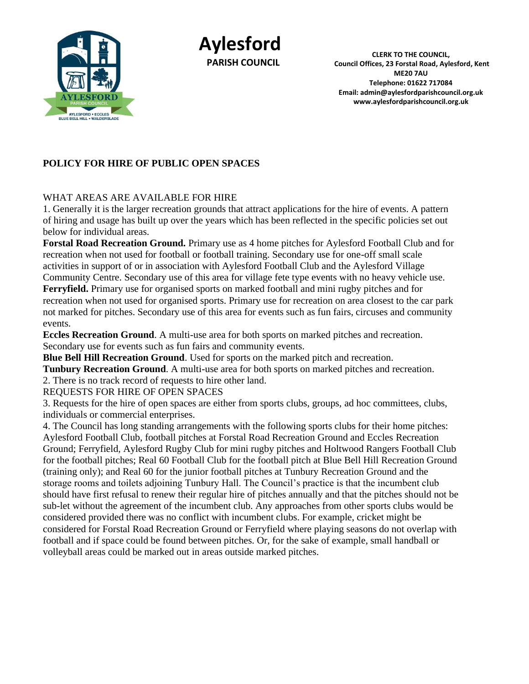

**Aylesford PARISH COUNCIL**

**CLERK TO THE COUNCIL, Council Offices, 23 Forstal Road, Aylesford, Kent ME20 7AU Telephone: 01622 717084 Email: admin@aylesfordparishcouncil.org.uk www.aylesfordparishcouncil.org.uk**

## **POLICY FOR HIRE OF PUBLIC OPEN SPACES**

## WHAT AREAS ARE AVAILABLE FOR HIRE

1. Generally it is the larger recreation grounds that attract applications for the hire of events. A pattern of hiring and usage has built up over the years which has been reflected in the specific policies set out below for individual areas.

**Forstal Road Recreation Ground.** Primary use as 4 home pitches for Aylesford Football Club and for recreation when not used for football or football training. Secondary use for one-off small scale activities in support of or in association with Aylesford Football Club and the Aylesford Village Community Centre. Secondary use of this area for village fete type events with no heavy vehicle use.

**Ferryfield.** Primary use for organised sports on marked football and mini rugby pitches and for recreation when not used for organised sports. Primary use for recreation on area closest to the car park not marked for pitches. Secondary use of this area for events such as fun fairs, circuses and community events.

**Eccles Recreation Ground**. A multi-use area for both sports on marked pitches and recreation. Secondary use for events such as fun fairs and community events.

**Blue Bell Hill Recreation Ground**. Used for sports on the marked pitch and recreation.

**Tunbury Recreation Ground**. A multi-use area for both sports on marked pitches and recreation.

2. There is no track record of requests to hire other land.

REQUESTS FOR HIRE OF OPEN SPACES

3. Requests for the hire of open spaces are either from sports clubs, groups, ad hoc committees, clubs, individuals or commercial enterprises.

4. The Council has long standing arrangements with the following sports clubs for their home pitches: Aylesford Football Club, football pitches at Forstal Road Recreation Ground and Eccles Recreation Ground; Ferryfield, Aylesford Rugby Club for mini rugby pitches and Holtwood Rangers Football Club for the football pitches; Real 60 Football Club for the football pitch at Blue Bell Hill Recreation Ground (training only); and Real 60 for the junior football pitches at Tunbury Recreation Ground and the storage rooms and toilets adjoining Tunbury Hall. The Council's practice is that the incumbent club should have first refusal to renew their regular hire of pitches annually and that the pitches should not be sub-let without the agreement of the incumbent club. Any approaches from other sports clubs would be considered provided there was no conflict with incumbent clubs. For example, cricket might be considered for Forstal Road Recreation Ground or Ferryfield where playing seasons do not overlap with football and if space could be found between pitches. Or, for the sake of example, small handball or volleyball areas could be marked out in areas outside marked pitches.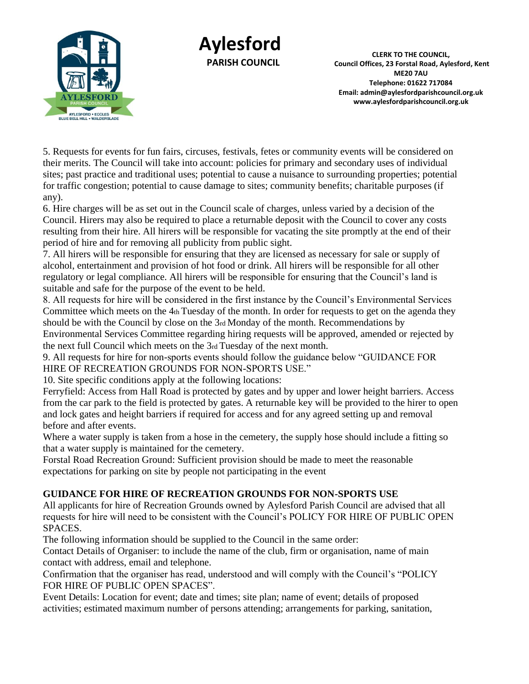

## **Aylesford PARISH COUNCIL**

**CLERK TO THE COUNCIL, Council Offices, 23 Forstal Road, Aylesford, Kent ME20 7AU Telephone: 01622 717084 Email: admin@aylesfordparishcouncil.org.uk www.aylesfordparishcouncil.org.uk**

5. Requests for events for fun fairs, circuses, festivals, fetes or community events will be considered on their merits. The Council will take into account: policies for primary and secondary uses of individual sites; past practice and traditional uses; potential to cause a nuisance to surrounding properties; potential for traffic congestion; potential to cause damage to sites; community benefits; charitable purposes (if any).

6. Hire charges will be as set out in the Council scale of charges, unless varied by a decision of the Council. Hirers may also be required to place a returnable deposit with the Council to cover any costs resulting from their hire. All hirers will be responsible for vacating the site promptly at the end of their period of hire and for removing all publicity from public sight.

7. All hirers will be responsible for ensuring that they are licensed as necessary for sale or supply of alcohol, entertainment and provision of hot food or drink. All hirers will be responsible for all other regulatory or legal compliance. All hirers will be responsible for ensuring that the Council's land is suitable and safe for the purpose of the event to be held.

8. All requests for hire will be considered in the first instance by the Council's Environmental Services Committee which meets on the 4th Tuesday of the month. In order for requests to get on the agenda they should be with the Council by close on the 3rd Monday of the month. Recommendations by

Environmental Services Committee regarding hiring requests will be approved, amended or rejected by the next full Council which meets on the 3rd Tuesday of the next month.

9. All requests for hire for non-sports events should follow the guidance below "GUIDANCE FOR HIRE OF RECREATION GROUNDS FOR NON-SPORTS USE."

10. Site specific conditions apply at the following locations:

Ferryfield: Access from Hall Road is protected by gates and by upper and lower height barriers. Access from the car park to the field is protected by gates. A returnable key will be provided to the hirer to open and lock gates and height barriers if required for access and for any agreed setting up and removal before and after events.

Where a water supply is taken from a hose in the cemetery, the supply hose should include a fitting so that a water supply is maintained for the cemetery.

Forstal Road Recreation Ground: Sufficient provision should be made to meet the reasonable expectations for parking on site by people not participating in the event

## **GUIDANCE FOR HIRE OF RECREATION GROUNDS FOR NON-SPORTS USE**

All applicants for hire of Recreation Grounds owned by Aylesford Parish Council are advised that all requests for hire will need to be consistent with the Council's POLICY FOR HIRE OF PUBLIC OPEN SPACES.

The following information should be supplied to the Council in the same order:

Contact Details of Organiser: to include the name of the club, firm or organisation, name of main contact with address, email and telephone.

Confirmation that the organiser has read, understood and will comply with the Council's "POLICY FOR HIRE OF PUBLIC OPEN SPACES".

Event Details: Location for event; date and times; site plan; name of event; details of proposed activities; estimated maximum number of persons attending; arrangements for parking, sanitation,